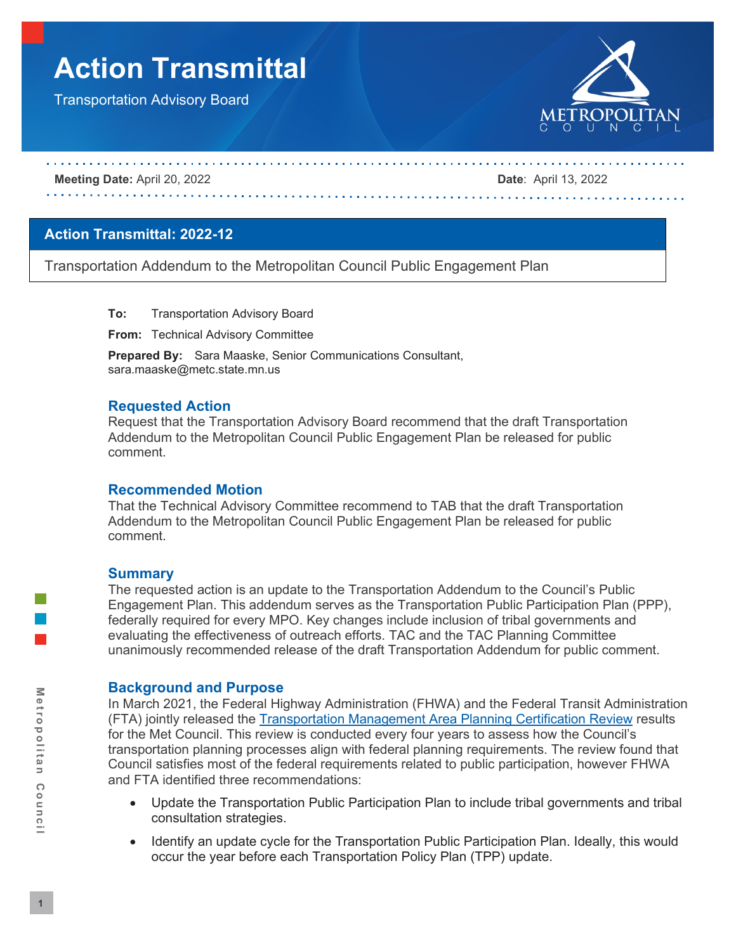# **Action Transmittal**

Transportation Advisory Board



#### **Meeting Date:** April 20, 2022 **Date**: April 13, 2022

## **Action Transmittal: 2022-12**

Transportation Addendum to the Metropolitan Council Public Engagement Plan

**To:** Transportation Advisory Board

**From:** Technical Advisory Committee

**Prepared By:** Sara Maaske, Senior Communications Consultant, sara.maaske@metc.state.mn.us

#### **Requested Action**

Request that the Transportation Advisory Board recommend that the draft Transportation Addendum to the Metropolitan Council Public Engagement Plan be released for public comment.

#### **Recommended Motion**

That the Technical Advisory Committee recommend to TAB that the draft Transportation Addendum to the Metropolitan Council Public Engagement Plan be released for public comment.

#### **Summary**

The requested action is an update to the Transportation Addendum to the Council's Public Engagement Plan. This addendum serves as the Transportation Public Participation Plan (PPP), federally required for every MPO. Key changes include inclusion of tribal governments and evaluating the effectiveness of outreach efforts. TAC and the TAC Planning Committee unanimously recommended release of the draft Transportation Addendum for public comment.

#### **Background and Purpose**

In March 2021, the Federal Highway Administration (FHWA) and the Federal Transit Administration (FTA) jointly released the [Transportation Management Area Planning Certification Review](https://metrocouncil.org/Council-Meetings/Committees/Transportation-Advisory-Board-TAB/2021/June-16,-2021/Info-1-2020-Met-Council-TMA-Certification-Report-F.aspx) results for the Met Council. This review is conducted every four years to assess how the Council's transportation planning processes align with federal planning requirements. The review found that Council satisfies most of the federal requirements related to public participation, however FHWA and FTA identified three recommendations:

- Update the Transportation Public Participation Plan to include tribal governments and tribal consultation strategies.
- Identify an update cycle for the Transportation Public Participation Plan. Ideally, this would occur the year before each Transportation Policy Plan (TPP) update.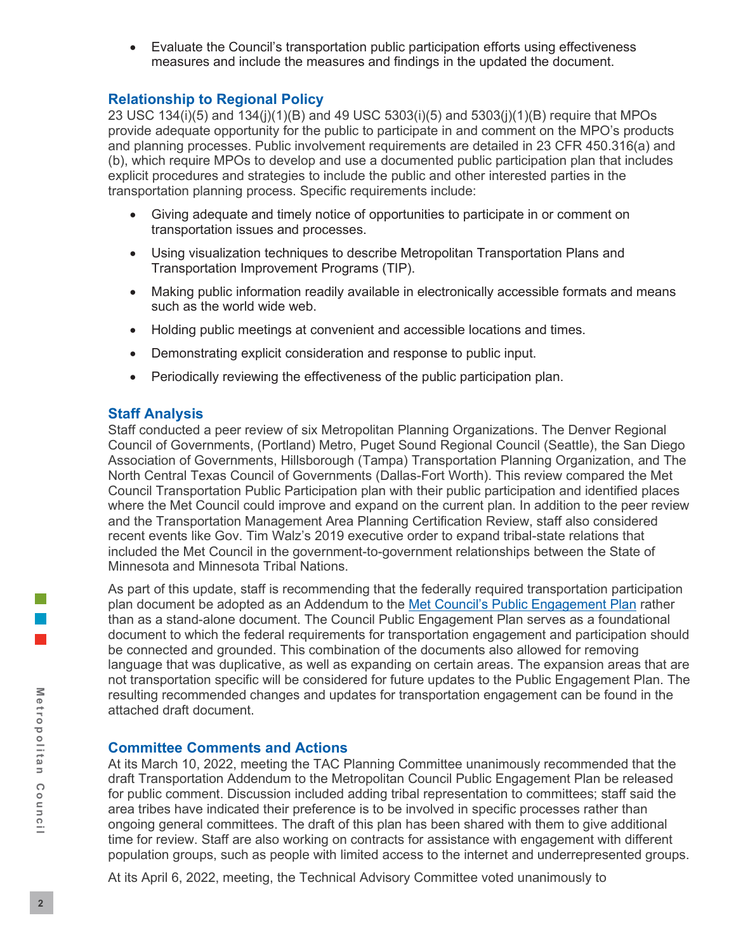• Evaluate the Council's transportation public participation efforts using effectiveness measures and include the measures and findings in the updated the document.

## **Relationship to Regional Policy**

23 USC 134(i)(5) and 134(j)(1)(B) and 49 USC 5303(i)(5) and 5303(j)(1)(B) require that MPOs provide adequate opportunity for the public to participate in and comment on the MPO's products and planning processes. Public involvement requirements are detailed in 23 CFR 450.316(a) and (b), which require MPOs to develop and use a documented public participation plan that includes explicit procedures and strategies to include the public and other interested parties in the transportation planning process. Specific requirements include:

- Giving adequate and timely notice of opportunities to participate in or comment on transportation issues and processes.
- Using visualization techniques to describe Metropolitan Transportation Plans and Transportation Improvement Programs (TIP).
- Making public information readily available in electronically accessible formats and means such as the world wide web.
- Holding public meetings at convenient and accessible locations and times.
- Demonstrating explicit consideration and response to public input.
- Periodically reviewing the effectiveness of the public participation plan.

## **Staff Analysis**

Staff conducted a peer review of six Metropolitan Planning Organizations. The Denver Regional Council of Governments, (Portland) Metro, Puget Sound Regional Council (Seattle), the San Diego Association of Governments, Hillsborough (Tampa) Transportation Planning Organization, and The North Central Texas Council of Governments (Dallas-Fort Worth). This review compared the Met Council Transportation Public Participation plan with their public participation and identified places where the Met Council could improve and expand on the current plan. In addition to the peer review and the Transportation Management Area Planning Certification Review, staff also considered recent events like Gov. Tim Walz's 2019 executive order to expand tribal-state relations that included the Met Council in the government-to-government relationships between the State of Minnesota and Minnesota Tribal Nations.

As part of this update, staff is recommending that the federally required transportation participation plan document be adopted as an Addendum to the [Met Council's Public Engagement Plan](https://metrocouncil.org/About-Us/Who-We-Are/Getting-involved/Public-Engagement-Plan.aspx) rather than as a stand-alone document. The Council Public Engagement Plan serves as a foundational document to which the federal requirements for transportation engagement and participation should be connected and grounded. This combination of the documents also allowed for removing language that was duplicative, as well as expanding on certain areas. The expansion areas that are not transportation specific will be considered for future updates to the Public Engagement Plan. The resulting recommended changes and updates for transportation engagement can be found in the attached draft document.

#### **Committee Comments and Actions**

At its March 10, 2022, meeting the TAC Planning Committee unanimously recommended that the draft Transportation Addendum to the Metropolitan Council Public Engagement Plan be released for public comment. Discussion included adding tribal representation to committees; staff said the area tribes have indicated their preference is to be involved in specific processes rather than ongoing general committees. The draft of this plan has been shared with them to give additional time for review. Staff are also working on contracts for assistance with engagement with different population groups, such as people with limited access to the internet and underrepresented groups.

At its April 6, 2022, meeting, the Technical Advisory Committee voted unanimously to

l a l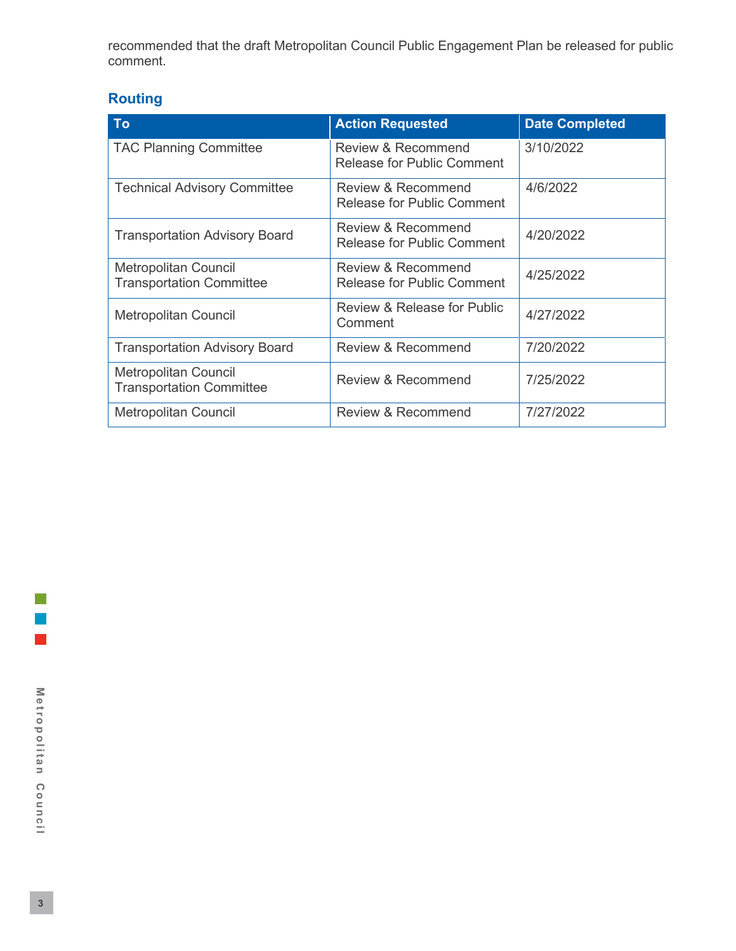recommended that the draft Metropolitan Council Public Engagement Plan be released for public comment.

# **Routing**

| To                                                             | <b>Action Requested</b>                                     | <b>Date Completed</b> |
|----------------------------------------------------------------|-------------------------------------------------------------|-----------------------|
| <b>TAC Planning Committee</b>                                  | Review & Recommend<br><b>Release for Public Comment</b>     | 3/10/2022             |
| <b>Technical Advisory Committee</b>                            | Review & Recommend<br><b>Release for Public Comment</b>     | 4/6/2022              |
| <b>Transportation Advisory Board</b>                           | Review & Recommend<br><b>Release for Public Comment</b>     | 4/20/2022             |
| <b>Metropolitan Council</b><br><b>Transportation Committee</b> | <b>Review &amp; Recommend</b><br>Release for Public Comment | 4/25/2022             |
| <b>Metropolitan Council</b>                                    | Review & Release for Public<br>Comment                      | 4/27/2022             |
| <b>Transportation Advisory Board</b>                           | <b>Review &amp; Recommend</b>                               | 7/20/2022             |
| <b>Metropolitan Council</b><br><b>Transportation Committee</b> | Review & Recommend                                          | 7/25/2022             |
| <b>Metropolitan Council</b>                                    | Review & Recommend                                          | 7/27/2022             |

 $\mathcal{L}_{\mathcal{A}}$ 

 $\mathcal{L}_{\mathcal{A}}$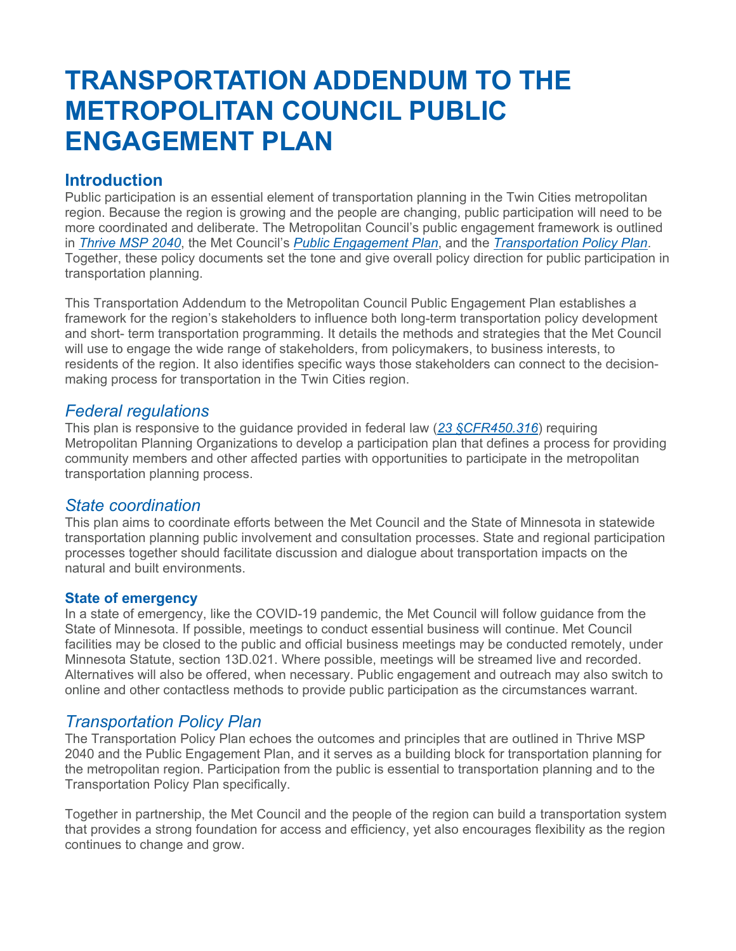# **TRANSPORTATION ADDENDUM TO THE METROPOLITAN COUNCIL PUBLIC ENGAGEMENT PLAN**

# **Introduction**

Public participation is an essential element of transportation planning in the Twin Cities metropolitan region. Because the region is growing and the people are changing, public participation will need to be more coordinated and deliberate. The Metropolitan Council's public engagement framework is outlined in *[Thrive MSP 2040](https://metrocouncil.org/Planning/Projects/Thrive-2040.aspx)*, the Met Council's *[Public Engagement Plan](https://metrocouncil.org/About-Us/Who-We-Are/Getting-involved/Public-Engagement-Plan.aspx)*, and the *[Transportation Policy Plan](https://metrocouncil.org/Transportation/Planning-2/Key-Transportation-Planning-Documents/Transportation-Policy-Plan.aspx)*. Together, these policy documents set the tone and give overall policy direction for public participation in transportation planning.

This Transportation Addendum to the Metropolitan Council Public Engagement Plan establishes a framework for the region's stakeholders to influence both long-term transportation policy development and short- term transportation programming. It details the methods and strategies that the Met Council will use to engage the wide range of stakeholders, from policymakers, to business interests, to residents of the region. It also identifies specific ways those stakeholders can connect to the decisionmaking process for transportation in the Twin Cities region.

# *Federal regulations*

This plan is responsive to the guidance provided in federal law (*[23 §CFR450.316](https://www.ecfr.gov/current/title-23/chapter-I/subchapter-E/part-450/subpart-C/section-450.316)*) requiring Metropolitan Planning Organizations to develop a participation plan that defines a process for providing community members and other affected parties with opportunities to participate in the metropolitan transportation planning process.

# *State coordination*

This plan aims to coordinate efforts between the Met Council and the State of Minnesota in statewide transportation planning public involvement and consultation processes. State and regional participation processes together should facilitate discussion and dialogue about transportation impacts on the natural and built environments.

## **State of emergency**

In a state of emergency, like the COVID-19 pandemic, the Met Council will follow guidance from the State of Minnesota. If possible, meetings to conduct essential business will continue. Met Council facilities may be closed to the public and official business meetings may be conducted remotely, under Minnesota Statute, section 13D.021. Where possible, meetings will be streamed live and recorded. Alternatives will also be offered, when necessary. Public engagement and outreach may also switch to online and other contactless methods to provide public participation as the circumstances warrant.

# *Transportation Policy Plan*

The Transportation Policy Plan echoes the outcomes and principles that are outlined in Thrive MSP 2040 and the Public Engagement Plan, and it serves as a building block for transportation planning for the metropolitan region. Participation from the public is essential to transportation planning and to the Transportation Policy Plan specifically.

Together in partnership, the Met Council and the people of the region can build a transportation system that provides a strong foundation for access and efficiency, yet also encourages flexibility as the region continues to change and grow.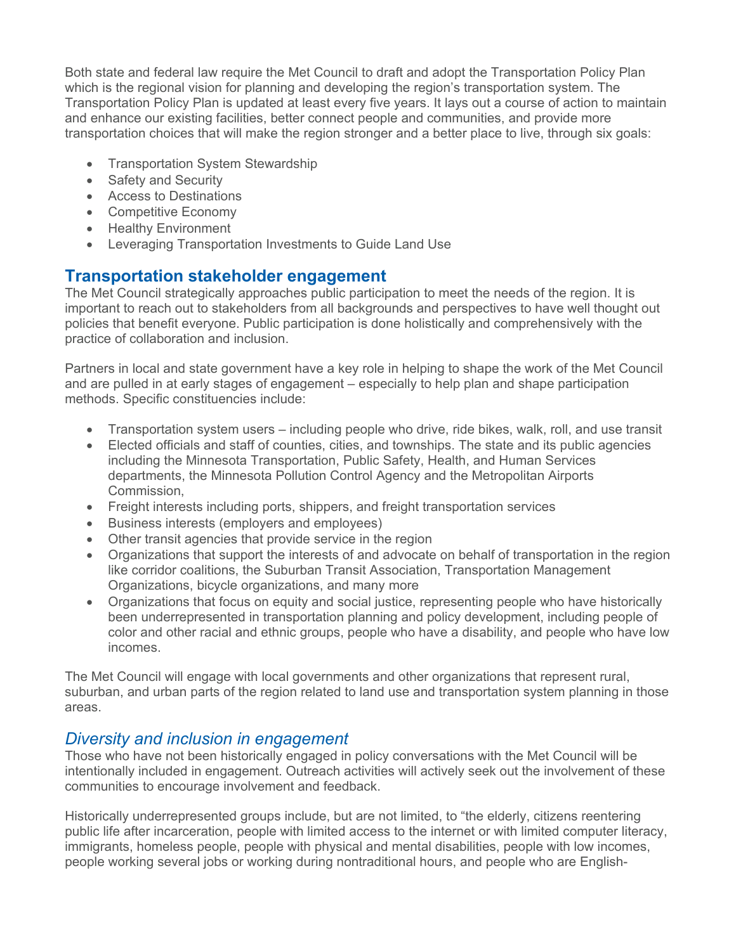Both state and federal law require the Met Council to draft and adopt the Transportation Policy Plan which is the regional vision for planning and developing the region's transportation system. The Transportation Policy Plan is updated at least every five years. It lays out a course of action to maintain and enhance our existing facilities, better connect people and communities, and provide more transportation choices that will make the region stronger and a better place to live, through six goals:

- Transportation System Stewardship
- Safety and Security
- Access to Destinations
- Competitive Economy
- Healthy Environment
- Leveraging Transportation Investments to Guide Land Use

# **Transportation stakeholder engagement**

The Met Council strategically approaches public participation to meet the needs of the region. It is important to reach out to stakeholders from all backgrounds and perspectives to have well thought out policies that benefit everyone. Public participation is done holistically and comprehensively with the practice of collaboration and inclusion.

Partners in local and state government have a key role in helping to shape the work of the Met Council and are pulled in at early stages of engagement – especially to help plan and shape participation methods. Specific constituencies include:

- Transportation system users including people who drive, ride bikes, walk, roll, and use transit
- Elected officials and staff of counties, cities, and townships. The state and its public agencies including the Minnesota Transportation, Public Safety, Health, and Human Services departments, the Minnesota Pollution Control Agency and the Metropolitan Airports Commission,
- Freight interests including ports, shippers, and freight transportation services
- Business interests (employers and employees)
- Other transit agencies that provide service in the region
- Organizations that support the interests of and advocate on behalf of transportation in the region like corridor coalitions, the Suburban Transit Association, Transportation Management Organizations, bicycle organizations, and many more
- Organizations that focus on equity and social justice, representing people who have historically been underrepresented in transportation planning and policy development, including people of color and other racial and ethnic groups, people who have a disability, and people who have low incomes.

The Met Council will engage with local governments and other organizations that represent rural, suburban, and urban parts of the region related to land use and transportation system planning in those areas.

# *Diversity and inclusion in engagement*

Those who have not been historically engaged in policy conversations with the Met Council will be intentionally included in engagement. Outreach activities will actively seek out the involvement of these communities to encourage involvement and feedback.

Historically underrepresented groups include, but are not limited, to "the elderly, citizens reentering public life after incarceration, people with limited access to the internet or with limited computer literacy, immigrants, homeless people, people with physical and mental disabilities, people with low incomes, people working several jobs or working during nontraditional hours, and people who are English-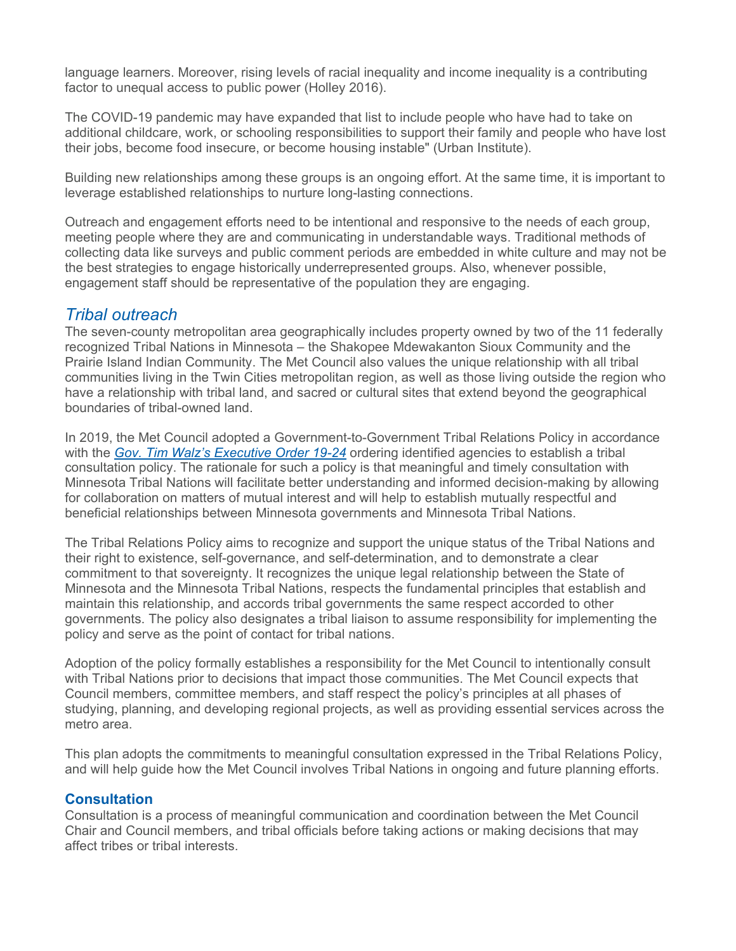language learners. Moreover, rising levels of racial inequality and income inequality is a contributing factor to unequal access to public power (Holley 2016).

The COVID-19 pandemic may have expanded that list to include people who have had to take on additional childcare, work, or schooling responsibilities to support their family and people who have lost their jobs, become food insecure, or become housing instable" (Urban Institute).

Building new relationships among these groups is an ongoing effort. At the same time, it is important to leverage established relationships to nurture long-lasting connections.

Outreach and engagement efforts need to be intentional and responsive to the needs of each group, meeting people where they are and communicating in understandable ways. Traditional methods of collecting data like surveys and public comment periods are embedded in white culture and may not be the best strategies to engage historically underrepresented groups. Also, whenever possible, engagement staff should be representative of the population they are engaging.

# *Tribal outreach*

The seven-county metropolitan area geographically includes property owned by two of the 11 federally recognized Tribal Nations in Minnesota – the Shakopee Mdewakanton Sioux Community and the Prairie Island Indian Community. The Met Council also values the unique relationship with all tribal communities living in the Twin Cities metropolitan region, as well as those living outside the region who have a relationship with tribal land, and sacred or cultural sites that extend beyond the geographical boundaries of tribal-owned land.

In 2019, the Met Council adopted a Government-to-Government Tribal Relations Policy in accordance with the *[Gov. Tim Walz's Executive Order 19-24](https://mn.gov/governor/assets/2019_04_04_EO_19-24_tcm1055-378654.pdf)* ordering identified agencies to establish a tribal consultation policy. The rationale for such a policy is that meaningful and timely consultation with Minnesota Tribal Nations will facilitate better understanding and informed decision-making by allowing for collaboration on matters of mutual interest and will help to establish mutually respectful and beneficial relationships between Minnesota governments and Minnesota Tribal Nations.

The Tribal Relations Policy aims to recognize and support the unique status of the Tribal Nations and their right to existence, self-governance, and self-determination, and to demonstrate a clear commitment to that sovereignty. It recognizes the unique legal relationship between the State of Minnesota and the Minnesota Tribal Nations, respects the fundamental principles that establish and maintain this relationship, and accords tribal governments the same respect accorded to other governments. The policy also designates a tribal liaison to assume responsibility for implementing the policy and serve as the point of contact for tribal nations.

Adoption of the policy formally establishes a responsibility for the Met Council to intentionally consult with Tribal Nations prior to decisions that impact those communities. The Met Council expects that Council members, committee members, and staff respect the policy's principles at all phases of studying, planning, and developing regional projects, as well as providing essential services across the metro area.

This plan adopts the commitments to meaningful consultation expressed in the Tribal Relations Policy, and will help guide how the Met Council involves Tribal Nations in ongoing and future planning efforts.

## **Consultation**

Consultation is a process of meaningful communication and coordination between the Met Council Chair and Council members, and tribal officials before taking actions or making decisions that may affect tribes or tribal interests.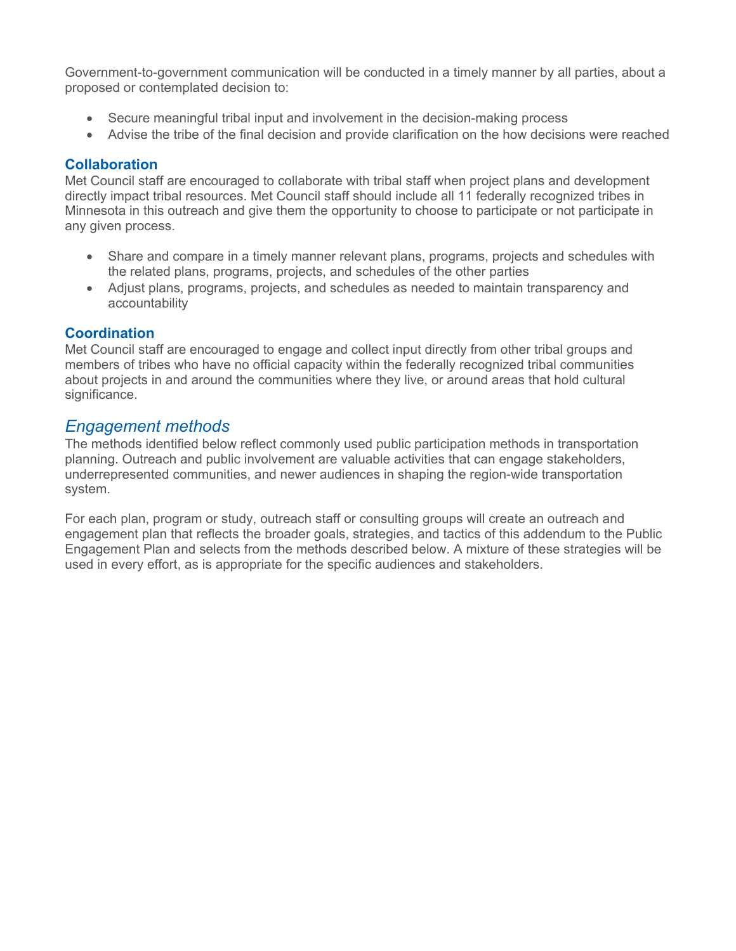Government-to-government communication will be conducted in a timely manner by all parties, about a proposed or contemplated decision to:

- Secure meaningful tribal input and involvement in the decision-making process
- Advise the tribe of the final decision and provide clarification on the how decisions were reached

## **Collaboration**

Met Council staff are encouraged to collaborate with tribal staff when project plans and development directly impact tribal resources. Met Council staff should include all 11 federally recognized tribes in Minnesota in this outreach and give them the opportunity to choose to participate or not participate in any given process.

- Share and compare in a timely manner relevant plans, programs, projects and schedules with the related plans, programs, projects, and schedules of the other parties
- Adjust plans, programs, projects, and schedules as needed to maintain transparency and accountability

## **Coordination**

Met Council staff are encouraged to engage and collect input directly from other tribal groups and members of tribes who have no official capacity within the federally recognized tribal communities about projects in and around the communities where they live, or around areas that hold cultural significance.

# *Engagement methods*

The methods identified below reflect commonly used public participation methods in transportation planning. Outreach and public involvement are valuable activities that can engage stakeholders, underrepresented communities, and newer audiences in shaping the region-wide transportation system.

For each plan, program or study, outreach staff or consulting groups will create an outreach and engagement plan that reflects the broader goals, strategies, and tactics of this addendum to the Public Engagement Plan and selects from the methods described below. A mixture of these strategies will be used in every effort, as is appropriate for the specific audiences and stakeholders.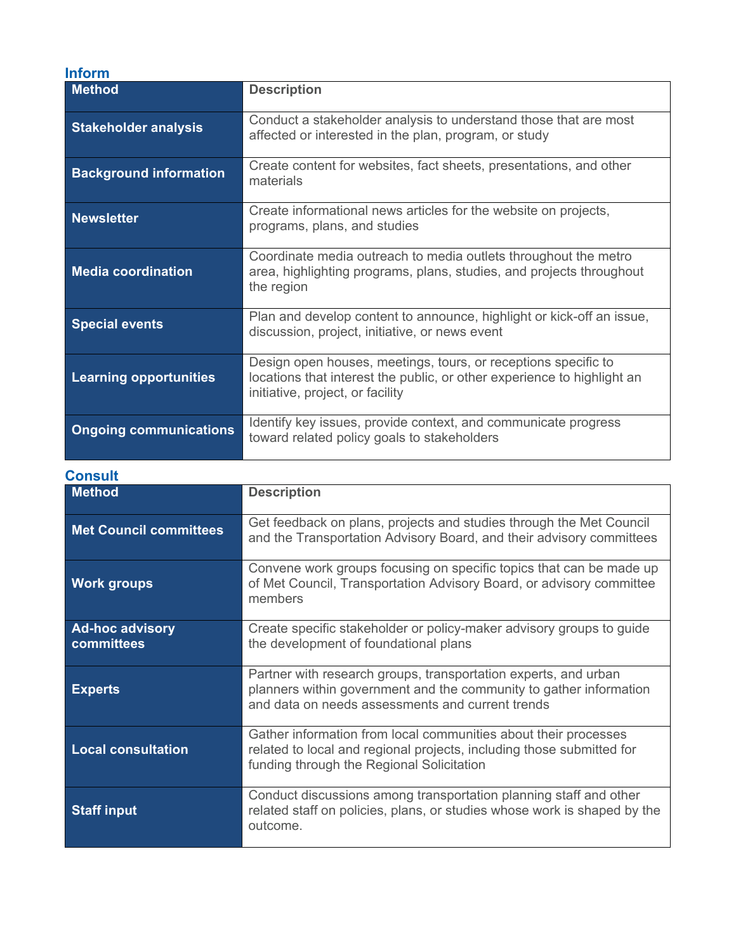| Inform                        |                                                                                                                                                                               |
|-------------------------------|-------------------------------------------------------------------------------------------------------------------------------------------------------------------------------|
| <b>Method</b>                 | <b>Description</b>                                                                                                                                                            |
| <b>Stakeholder analysis</b>   | Conduct a stakeholder analysis to understand those that are most<br>affected or interested in the plan, program, or study                                                     |
| <b>Background information</b> | Create content for websites, fact sheets, presentations, and other<br>materials                                                                                               |
| <b>Newsletter</b>             | Create informational news articles for the website on projects,<br>programs, plans, and studies                                                                               |
| <b>Media coordination</b>     | Coordinate media outreach to media outlets throughout the metro<br>area, highlighting programs, plans, studies, and projects throughout<br>the region                         |
| <b>Special events</b>         | Plan and develop content to announce, highlight or kick-off an issue,<br>discussion, project, initiative, or news event                                                       |
| <b>Learning opportunities</b> | Design open houses, meetings, tours, or receptions specific to<br>locations that interest the public, or other experience to highlight an<br>initiative, project, or facility |
| <b>Ongoing communications</b> | Identify key issues, provide context, and communicate progress<br>toward related policy goals to stakeholders                                                                 |

| <b>Consult</b>                       |                                                                                                                                                                                           |
|--------------------------------------|-------------------------------------------------------------------------------------------------------------------------------------------------------------------------------------------|
| <b>Method</b>                        | <b>Description</b>                                                                                                                                                                        |
| <b>Met Council committees</b>        | Get feedback on plans, projects and studies through the Met Council<br>and the Transportation Advisory Board, and their advisory committees                                               |
| <b>Work groups</b>                   | Convene work groups focusing on specific topics that can be made up<br>of Met Council, Transportation Advisory Board, or advisory committee<br>members                                    |
| <b>Ad-hoc advisory</b><br>committees | Create specific stakeholder or policy-maker advisory groups to guide<br>the development of foundational plans                                                                             |
| <b>Experts</b>                       | Partner with research groups, transportation experts, and urban<br>planners within government and the community to gather information<br>and data on needs assessments and current trends |
| <b>Local consultation</b>            | Gather information from local communities about their processes<br>related to local and regional projects, including those submitted for<br>funding through the Regional Solicitation     |
| <b>Staff input</b>                   | Conduct discussions among transportation planning staff and other<br>related staff on policies, plans, or studies whose work is shaped by the<br>outcome.                                 |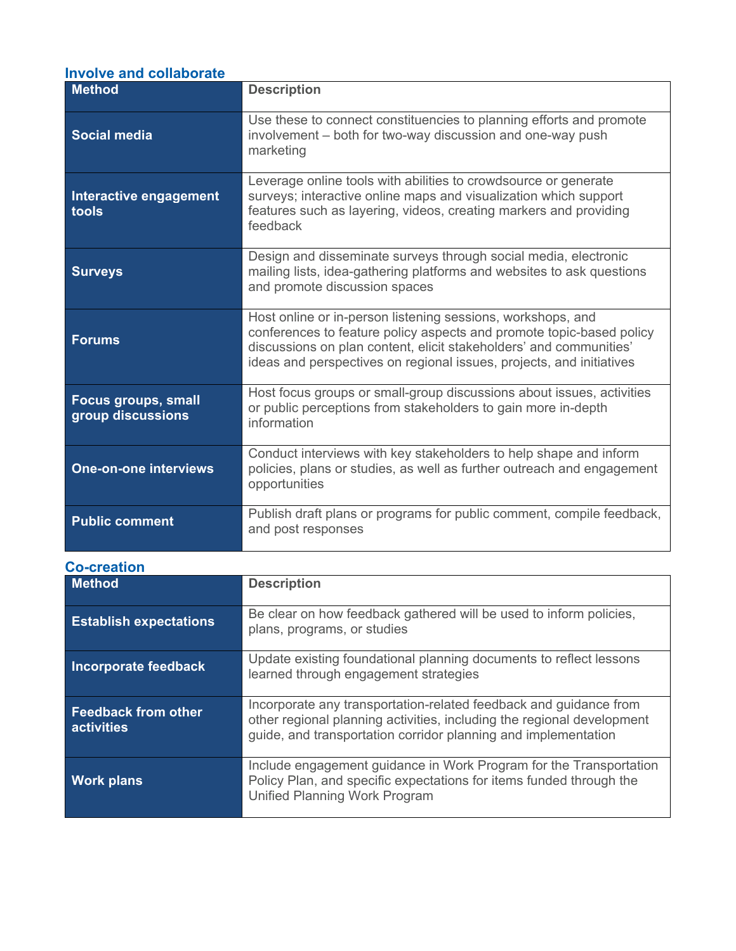| <b>Involve and collaborate</b> |  |  |
|--------------------------------|--|--|
|                                |  |  |

| <b>Method</b>                                   | <b>Description</b>                                                                                                                                                                                                                                                                |
|-------------------------------------------------|-----------------------------------------------------------------------------------------------------------------------------------------------------------------------------------------------------------------------------------------------------------------------------------|
| <b>Social media</b>                             | Use these to connect constituencies to planning efforts and promote<br>involvement – both for two-way discussion and one-way push<br>marketing                                                                                                                                    |
| Interactive engagement<br>tools                 | Leverage online tools with abilities to crowdsource or generate<br>surveys; interactive online maps and visualization which support<br>features such as layering, videos, creating markers and providing<br>feedback                                                              |
| <b>Surveys</b>                                  | Design and disseminate surveys through social media, electronic<br>mailing lists, idea-gathering platforms and websites to ask questions<br>and promote discussion spaces                                                                                                         |
| <b>Forums</b>                                   | Host online or in-person listening sessions, workshops, and<br>conferences to feature policy aspects and promote topic-based policy<br>discussions on plan content, elicit stakeholders' and communities'<br>ideas and perspectives on regional issues, projects, and initiatives |
| <b>Focus groups, small</b><br>group discussions | Host focus groups or small-group discussions about issues, activities<br>or public perceptions from stakeholders to gain more in-depth<br>information                                                                                                                             |
| <b>One-on-one interviews</b>                    | Conduct interviews with key stakeholders to help shape and inform<br>policies, plans or studies, as well as further outreach and engagement<br>opportunities                                                                                                                      |
| <b>Public comment</b>                           | Publish draft plans or programs for public comment, compile feedback,<br>and post responses                                                                                                                                                                                       |

# **Co-creation**

| <b>Method</b>                            | <b>Description</b>                                                                                                                                                                                            |
|------------------------------------------|---------------------------------------------------------------------------------------------------------------------------------------------------------------------------------------------------------------|
| <b>Establish expectations</b>            | Be clear on how feedback gathered will be used to inform policies,<br>plans, programs, or studies                                                                                                             |
| Incorporate feedback                     | Update existing foundational planning documents to reflect lessons<br>learned through engagement strategies                                                                                                   |
| <b>Feedback from other</b><br>activities | Incorporate any transportation-related feedback and guidance from<br>other regional planning activities, including the regional development<br>guide, and transportation corridor planning and implementation |
| <b>Work plans</b>                        | Include engagement guidance in Work Program for the Transportation<br>Policy Plan, and specific expectations for items funded through the<br>Unified Planning Work Program                                    |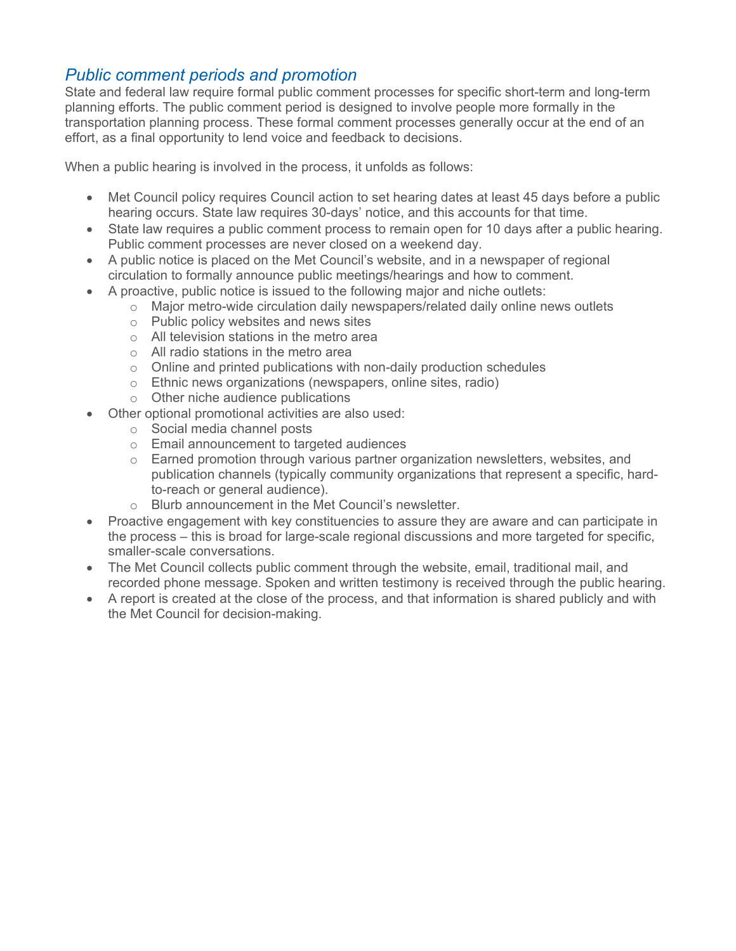# *Public comment periods and promotion*

State and federal law require formal public comment processes for specific short-term and long-term planning efforts. The public comment period is designed to involve people more formally in the transportation planning process. These formal comment processes generally occur at the end of an effort, as a final opportunity to lend voice and feedback to decisions.

When a public hearing is involved in the process, it unfolds as follows:

- Met Council policy requires Council action to set hearing dates at least 45 days before a public hearing occurs. State law requires 30-days' notice, and this accounts for that time.
- State law requires a public comment process to remain open for 10 days after a public hearing. Public comment processes are never closed on a weekend day.
- A public notice is placed on the Met Council's website, and in a newspaper of regional circulation to formally announce public meetings/hearings and how to comment.
- A proactive, public notice is issued to the following major and niche outlets:
	- $\circ$  Major metro-wide circulation daily newspapers/related daily online news outlets
	- o Public policy websites and news sites
	- o All television stations in the metro area
	- o All radio stations in the metro area
	- o Online and printed publications with non-daily production schedules
	- o Ethnic news organizations (newspapers, online sites, radio)
	- o Other niche audience publications
	- Other optional promotional activities are also used:
		- o Social media channel posts
		- o Email announcement to targeted audiences
		- $\circ$  Earned promotion through various partner organization newsletters, websites, and publication channels (typically community organizations that represent a specific, hardto-reach or general audience).
		- o Blurb announcement in the Met Council's newsletter.
- Proactive engagement with key constituencies to assure they are aware and can participate in the process – this is broad for large-scale regional discussions and more targeted for specific, smaller-scale conversations.
- The Met Council collects public comment through the website, email, traditional mail, and recorded phone message. Spoken and written testimony is received through the public hearing.
- A report is created at the close of the process, and that information is shared publicly and with the Met Council for decision-making.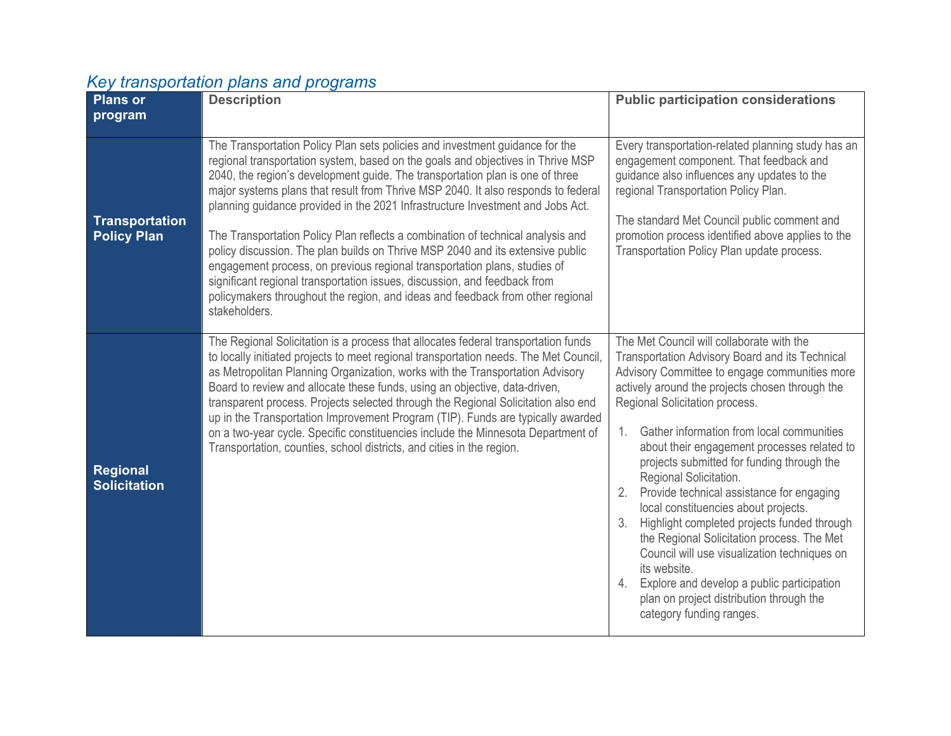# *Key transportation plans and programs*

| <b>Plans or</b><br>program             | <b>Description</b>                                                                                                                                                                                                                                                                                                                                                                                                                                                                                                                                                                                                                                                                                                                                                                                                                                        | <b>Public participation considerations</b>                                                                                                                                                                                                                                                                                                                                                                                                                                                                                                                                                                                                                                                                                                                                                    |
|----------------------------------------|-----------------------------------------------------------------------------------------------------------------------------------------------------------------------------------------------------------------------------------------------------------------------------------------------------------------------------------------------------------------------------------------------------------------------------------------------------------------------------------------------------------------------------------------------------------------------------------------------------------------------------------------------------------------------------------------------------------------------------------------------------------------------------------------------------------------------------------------------------------|-----------------------------------------------------------------------------------------------------------------------------------------------------------------------------------------------------------------------------------------------------------------------------------------------------------------------------------------------------------------------------------------------------------------------------------------------------------------------------------------------------------------------------------------------------------------------------------------------------------------------------------------------------------------------------------------------------------------------------------------------------------------------------------------------|
| Transportation<br><b>Policy Plan</b>   | The Transportation Policy Plan sets policies and investment guidance for the<br>regional transportation system, based on the goals and objectives in Thrive MSP<br>2040, the region's development guide. The transportation plan is one of three<br>major systems plans that result from Thrive MSP 2040. It also responds to federal<br>planning guidance provided in the 2021 Infrastructure Investment and Jobs Act.<br>The Transportation Policy Plan reflects a combination of technical analysis and<br>policy discussion. The plan builds on Thrive MSP 2040 and its extensive public<br>engagement process, on previous regional transportation plans, studies of<br>significant regional transportation issues, discussion, and feedback from<br>policymakers throughout the region, and ideas and feedback from other regional<br>stakeholders. | Every transportation-related planning study has an<br>engagement component. That feedback and<br>guidance also influences any updates to the<br>regional Transportation Policy Plan.<br>The standard Met Council public comment and<br>promotion process identified above applies to the<br>Transportation Policy Plan update process.                                                                                                                                                                                                                                                                                                                                                                                                                                                        |
| <b>Regional</b><br><b>Solicitation</b> | The Regional Solicitation is a process that allocates federal transportation funds<br>to locally initiated projects to meet regional transportation needs. The Met Council,<br>as Metropolitan Planning Organization, works with the Transportation Advisory<br>Board to review and allocate these funds, using an objective, data-driven,<br>transparent process. Projects selected through the Regional Solicitation also end<br>up in the Transportation Improvement Program (TIP). Funds are typically awarded<br>on a two-year cycle. Specific constituencies include the Minnesota Department of<br>Transportation, counties, school districts, and cities in the region.                                                                                                                                                                           | The Met Council will collaborate with the<br>Transportation Advisory Board and its Technical<br>Advisory Committee to engage communities more<br>actively around the projects chosen through the<br>Regional Solicitation process.<br>Gather information from local communities<br>1.<br>about their engagement processes related to<br>projects submitted for funding through the<br>Regional Solicitation.<br>Provide technical assistance for engaging<br>local constituencies about projects.<br>Highlight completed projects funded through<br>3.<br>the Regional Solicitation process. The Met<br>Council will use visualization techniques on<br>its website.<br>4. Explore and develop a public participation<br>plan on project distribution through the<br>category funding ranges. |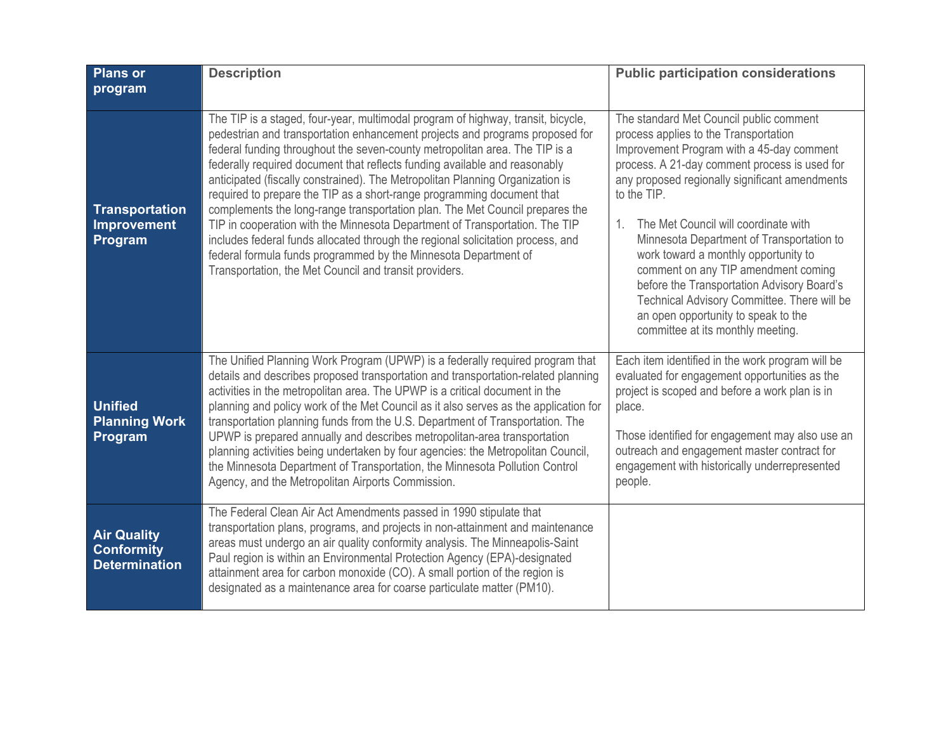| <b>Plans or</b><br>program                                      | <b>Description</b>                                                                                                                                                                                                                                                                                                                                                                                                                                                                                                                                                                                                                                                                                                                                                                                                                                                      | <b>Public participation considerations</b>                                                                                                                                                                                                                                                                                                                                                                                                                                                                                                                                                                     |
|-----------------------------------------------------------------|-------------------------------------------------------------------------------------------------------------------------------------------------------------------------------------------------------------------------------------------------------------------------------------------------------------------------------------------------------------------------------------------------------------------------------------------------------------------------------------------------------------------------------------------------------------------------------------------------------------------------------------------------------------------------------------------------------------------------------------------------------------------------------------------------------------------------------------------------------------------------|----------------------------------------------------------------------------------------------------------------------------------------------------------------------------------------------------------------------------------------------------------------------------------------------------------------------------------------------------------------------------------------------------------------------------------------------------------------------------------------------------------------------------------------------------------------------------------------------------------------|
| <b>Transportation</b><br><b>Improvement</b><br>Program          | The TIP is a staged, four-year, multimodal program of highway, transit, bicycle,<br>pedestrian and transportation enhancement projects and programs proposed for<br>federal funding throughout the seven-county metropolitan area. The TIP is a<br>federally required document that reflects funding available and reasonably<br>anticipated (fiscally constrained). The Metropolitan Planning Organization is<br>required to prepare the TIP as a short-range programming document that<br>complements the long-range transportation plan. The Met Council prepares the<br>TIP in cooperation with the Minnesota Department of Transportation. The TIP<br>includes federal funds allocated through the regional solicitation process, and<br>federal formula funds programmed by the Minnesota Department of<br>Transportation, the Met Council and transit providers. | The standard Met Council public comment<br>process applies to the Transportation<br>Improvement Program with a 45-day comment<br>process. A 21-day comment process is used for<br>any proposed regionally significant amendments<br>to the TIP.<br>The Met Council will coordinate with<br>$\mathbf{1}$ .<br>Minnesota Department of Transportation to<br>work toward a monthly opportunity to<br>comment on any TIP amendment coming<br>before the Transportation Advisory Board's<br>Technical Advisory Committee. There will be<br>an open opportunity to speak to the<br>committee at its monthly meeting. |
| <b>Unified</b><br><b>Planning Work</b><br>Program               | The Unified Planning Work Program (UPWP) is a federally required program that<br>details and describes proposed transportation and transportation-related planning<br>activities in the metropolitan area. The UPWP is a critical document in the<br>planning and policy work of the Met Council as it also serves as the application for<br>transportation planning funds from the U.S. Department of Transportation. The<br>UPWP is prepared annually and describes metropolitan-area transportation<br>planning activities being undertaken by four agencies: the Metropolitan Council,<br>the Minnesota Department of Transportation, the Minnesota Pollution Control<br>Agency, and the Metropolitan Airports Commission.                                                                                                                                          | Each item identified in the work program will be<br>evaluated for engagement opportunities as the<br>project is scoped and before a work plan is in<br>place.<br>Those identified for engagement may also use an<br>outreach and engagement master contract for<br>engagement with historically underrepresented<br>people.                                                                                                                                                                                                                                                                                    |
| <b>Air Quality</b><br><b>Conformity</b><br><b>Determination</b> | The Federal Clean Air Act Amendments passed in 1990 stipulate that<br>transportation plans, programs, and projects in non-attainment and maintenance<br>areas must undergo an air quality conformity analysis. The Minneapolis-Saint<br>Paul region is within an Environmental Protection Agency (EPA)-designated<br>attainment area for carbon monoxide (CO). A small portion of the region is<br>designated as a maintenance area for coarse particulate matter (PM10).                                                                                                                                                                                                                                                                                                                                                                                               |                                                                                                                                                                                                                                                                                                                                                                                                                                                                                                                                                                                                                |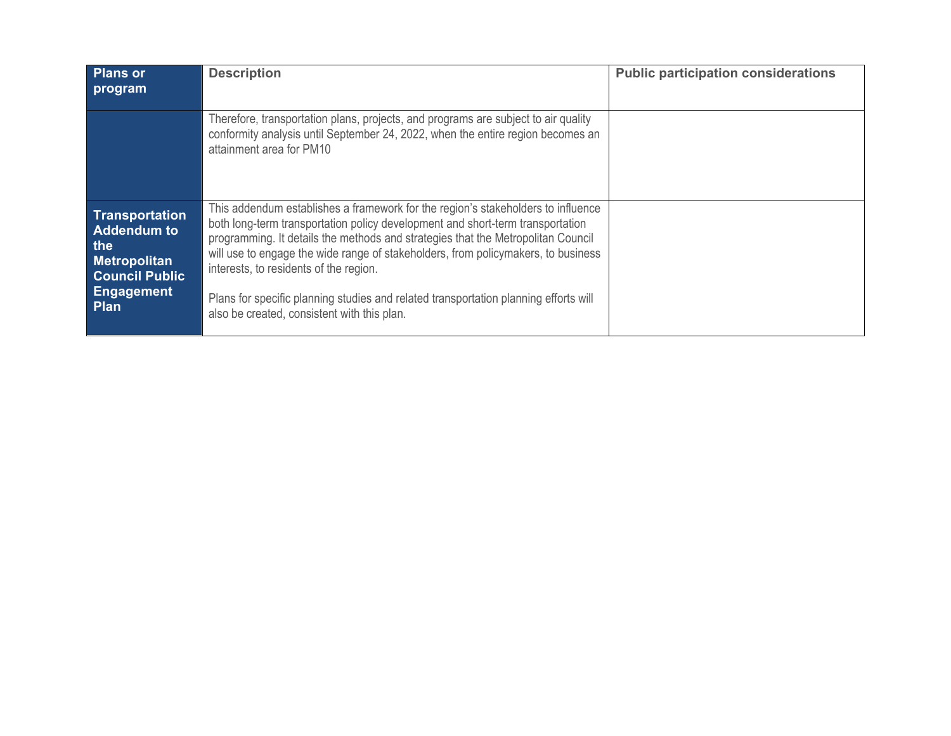| <b>Plans or</b><br>program                                                                                               | <b>Description</b>                                                                                                                                                                                                                                                                                                                                                                                                                                                                                                           | <b>Public participation considerations</b> |
|--------------------------------------------------------------------------------------------------------------------------|------------------------------------------------------------------------------------------------------------------------------------------------------------------------------------------------------------------------------------------------------------------------------------------------------------------------------------------------------------------------------------------------------------------------------------------------------------------------------------------------------------------------------|--------------------------------------------|
|                                                                                                                          | Therefore, transportation plans, projects, and programs are subject to air quality<br>conformity analysis until September 24, 2022, when the entire region becomes an<br>attainment area for PM10                                                                                                                                                                                                                                                                                                                            |                                            |
| Transportation<br><b>Addendum to</b><br>the<br><b>Metropolitan</b><br><b>Council Public</b><br><b>Engagement</b><br>Plan | This addendum establishes a framework for the region's stakeholders to influence<br>both long-term transportation policy development and short-term transportation<br>programming. It details the methods and strategies that the Metropolitan Council<br>will use to engage the wide range of stakeholders, from policymakers, to business<br>interests, to residents of the region.<br>Plans for specific planning studies and related transportation planning efforts will<br>also be created, consistent with this plan. |                                            |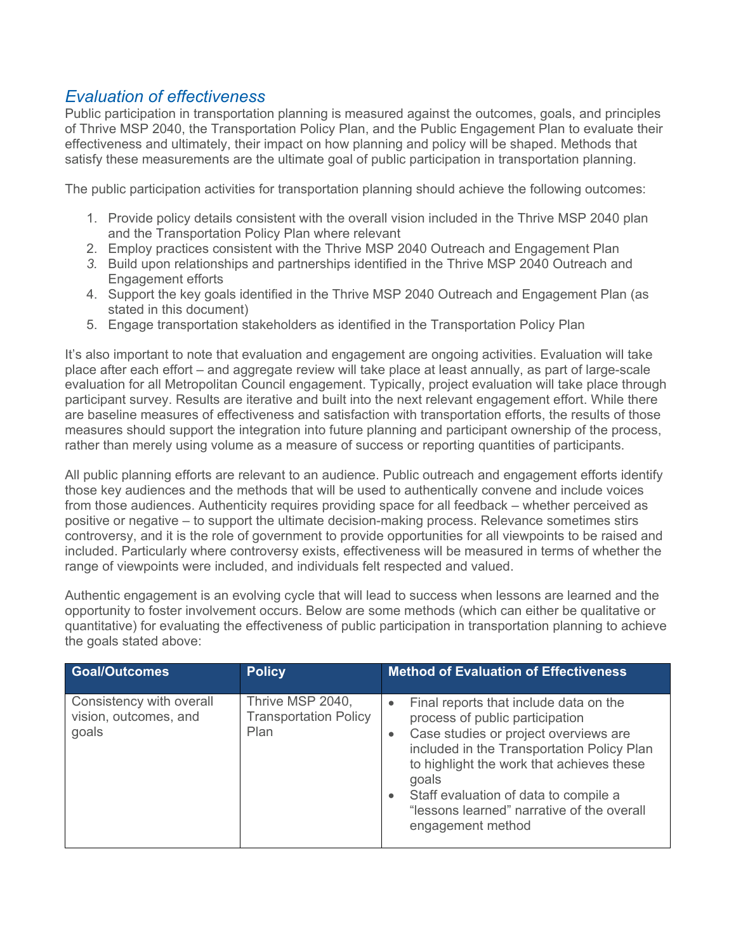# *Evaluation of effectiveness*

Public participation in transportation planning is measured against the outcomes, goals, and principles of Thrive MSP 2040, the Transportation Policy Plan, and the Public Engagement Plan to evaluate their effectiveness and ultimately, their impact on how planning and policy will be shaped. Methods that satisfy these measurements are the ultimate goal of public participation in transportation planning.

The public participation activities for transportation planning should achieve the following outcomes:

- 1. Provide policy details consistent with the overall vision included in the Thrive MSP 2040 plan and the Transportation Policy Plan where relevant
- 2. Employ practices consistent with the Thrive MSP 2040 Outreach and Engagement Plan
- *3.* Build upon relationships and partnerships identified in the Thrive MSP 2040 Outreach and Engagement efforts
- 4. Support the key goals identified in the Thrive MSP 2040 Outreach and Engagement Plan (as stated in this document)
- 5. Engage transportation stakeholders as identified in the Transportation Policy Plan

It's also important to note that evaluation and engagement are ongoing activities. Evaluation will take place after each effort – and aggregate review will take place at least annually, as part of large-scale evaluation for all Metropolitan Council engagement. Typically, project evaluation will take place through participant survey. Results are iterative and built into the next relevant engagement effort. While there are baseline measures of effectiveness and satisfaction with transportation efforts, the results of those measures should support the integration into future planning and participant ownership of the process, rather than merely using volume as a measure of success or reporting quantities of participants.

All public planning efforts are relevant to an audience. Public outreach and engagement efforts identify those key audiences and the methods that will be used to authentically convene and include voices from those audiences. Authenticity requires providing space for all feedback – whether perceived as positive or negative – to support the ultimate decision-making process. Relevance sometimes stirs controversy, and it is the role of government to provide opportunities for all viewpoints to be raised and included. Particularly where controversy exists, effectiveness will be measured in terms of whether the range of viewpoints were included, and individuals felt respected and valued.

Authentic engagement is an evolving cycle that will lead to success when lessons are learned and the opportunity to foster involvement occurs. Below are some methods (which can either be qualitative or quantitative) for evaluating the effectiveness of public participation in transportation planning to achieve the goals stated above:

| <b>Goal/Outcomes</b>                                       | <b>Policy</b>                                            | <b>Method of Evaluation of Effectiveness</b>                                                                                                                                                                                                                                                                                                                              |
|------------------------------------------------------------|----------------------------------------------------------|---------------------------------------------------------------------------------------------------------------------------------------------------------------------------------------------------------------------------------------------------------------------------------------------------------------------------------------------------------------------------|
| Consistency with overall<br>vision, outcomes, and<br>goals | Thrive MSP 2040,<br><b>Transportation Policy</b><br>Plan | Final reports that include data on the<br>$\bullet$<br>process of public participation<br>Case studies or project overviews are<br>$\bullet$<br>included in the Transportation Policy Plan<br>to highlight the work that achieves these<br>goals<br>Staff evaluation of data to compile a<br>$\bullet$<br>"lessons learned" narrative of the overall<br>engagement method |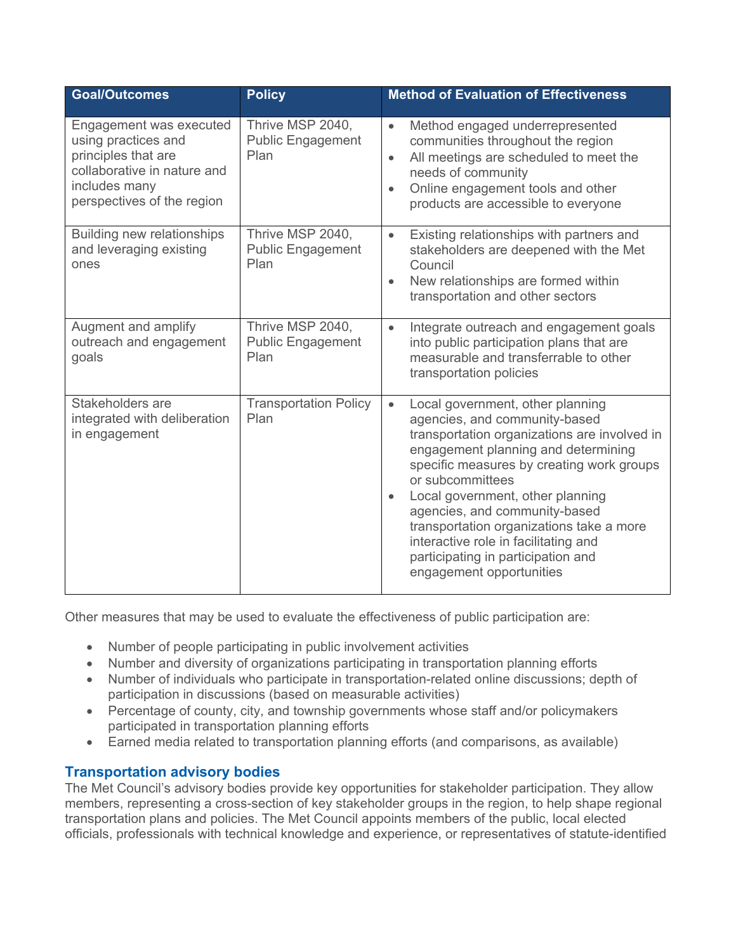| <b>Goal/Outcomes</b>                                                                                                                                | <b>Policy</b>                                        | <b>Method of Evaluation of Effectiveness</b>                                                                                                                                                                                                                                                                                                                                                                                                                      |
|-----------------------------------------------------------------------------------------------------------------------------------------------------|------------------------------------------------------|-------------------------------------------------------------------------------------------------------------------------------------------------------------------------------------------------------------------------------------------------------------------------------------------------------------------------------------------------------------------------------------------------------------------------------------------------------------------|
| Engagement was executed<br>using practices and<br>principles that are<br>collaborative in nature and<br>includes many<br>perspectives of the region | Thrive MSP 2040,<br><b>Public Engagement</b><br>Plan | Method engaged underrepresented<br>$\bullet$<br>communities throughout the region<br>All meetings are scheduled to meet the<br>$\bullet$<br>needs of community<br>Online engagement tools and other<br>$\bullet$<br>products are accessible to everyone                                                                                                                                                                                                           |
| <b>Building new relationships</b><br>and leveraging existing<br>ones                                                                                | Thrive MSP 2040,<br><b>Public Engagement</b><br>Plan | Existing relationships with partners and<br>$\bullet$<br>stakeholders are deepened with the Met<br>Council<br>New relationships are formed within<br>$\bullet$<br>transportation and other sectors                                                                                                                                                                                                                                                                |
| Augment and amplify<br>outreach and engagement<br>goals                                                                                             | Thrive MSP 2040,<br><b>Public Engagement</b><br>Plan | Integrate outreach and engagement goals<br>$\bullet$<br>into public participation plans that are<br>measurable and transferrable to other<br>transportation policies                                                                                                                                                                                                                                                                                              |
| Stakeholders are<br>integrated with deliberation<br>in engagement                                                                                   | <b>Transportation Policy</b><br>Plan                 | Local government, other planning<br>$\bullet$<br>agencies, and community-based<br>transportation organizations are involved in<br>engagement planning and determining<br>specific measures by creating work groups<br>or subcommittees<br>Local government, other planning<br>agencies, and community-based<br>transportation organizations take a more<br>interactive role in facilitating and<br>participating in participation and<br>engagement opportunities |

Other measures that may be used to evaluate the effectiveness of public participation are:

- Number of people participating in public involvement activities
- Number and diversity of organizations participating in transportation planning efforts
- Number of individuals who participate in transportation-related online discussions; depth of participation in discussions (based on measurable activities)
- Percentage of county, city, and township governments whose staff and/or policymakers participated in transportation planning efforts
- Earned media related to transportation planning efforts (and comparisons, as available)

# **Transportation advisory bodies**

The Met Council's advisory bodies provide key opportunities for stakeholder participation. They allow members, representing a cross-section of key stakeholder groups in the region, to help shape regional transportation plans and policies. The Met Council appoints members of the public, local elected officials, professionals with technical knowledge and experience, or representatives of statute-identified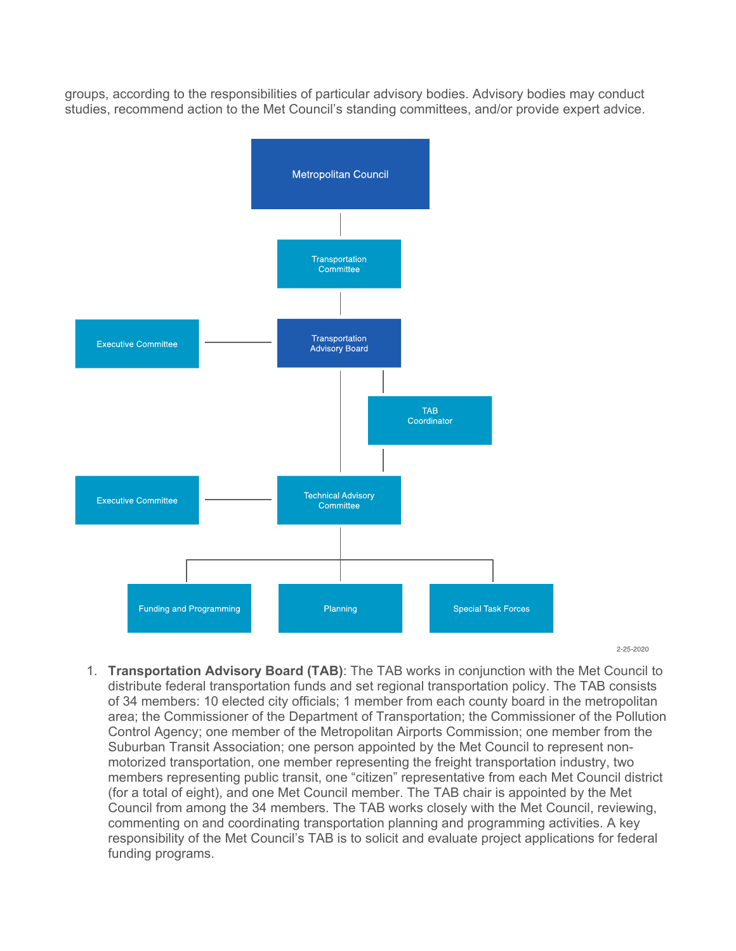groups, according to the responsibilities of particular advisory bodies. Advisory bodies may conduct studies, recommend action to the Met Council's standing committees, and/or provide expert advice.



 $2 - 25 - 2020$ 

1. **Transportation Advisory Board (TAB)**: The TAB works in conjunction with the Met Council to distribute federal transportation funds and set regional transportation policy. The TAB consists of 34 members: 10 elected city officials; 1 member from each county board in the metropolitan area; the Commissioner of the Department of Transportation; the Commissioner of the Pollution Control Agency; one member of the Metropolitan Airports Commission; one member from the Suburban Transit Association; one person appointed by the Met Council to represent nonmotorized transportation, one member representing the freight transportation industry, two members representing public transit, one "citizen" representative from each Met Council district (for a total of eight), and one Met Council member. The TAB chair is appointed by the Met Council from among the 34 members. The TAB works closely with the Met Council, reviewing, commenting on and coordinating transportation planning and programming activities. A key responsibility of the Met Council's TAB is to solicit and evaluate project applications for federal funding programs.